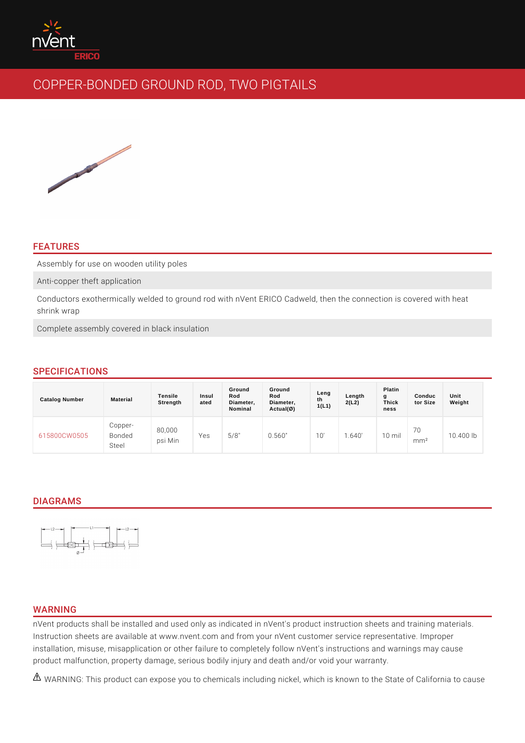## FEATURES

Assembly for use on wooden utility poles

Anti-copper theft application

Conductors exothermically welded to ground rod with nVent ERICO Cadweld, the shrink wrap

Complete assembly covered in black insulation

# SPECIFICATIONS

| Catalog Number    | Material             | Tensile<br>Strength | Insul<br>ated | Ground<br>Rod<br>Diameter,<br>Nominal | Ground<br>Rod<br>Diameter,<br>$Actual(\emptyset)$ | Leng<br>th<br>1(L1) | Length<br>2(L2) | Platin<br>g<br>Thick<br>ness | Conduc<br>tor Size     | Unit<br>Weight |  |
|-------------------|----------------------|---------------------|---------------|---------------------------------------|---------------------------------------------------|---------------------|-----------------|------------------------------|------------------------|----------------|--|
| 615800CW050Bonded | $C$ opper -<br>Steel | 80,000<br>psi Min   | Yes           | 5/8"                                  | 0.560"                                            | $\overline{0}$      | .640            | mil<br>10                    | 70<br>m m <sup>2</sup> | 10.400 lb      |  |

## DIAGRAMS

### WARNING

nVent products shall be installed and used only as indicated in nVent's product Instruction sheets are available at www.nvent.com and from your nVent customer installation, misuse, misapplication or other failure to completely follow nVent's product malfunction, property damage, serious bodily injury and death and/or vo

 $\triangle$  WARNING: This product can expose you to chemicals including nickel, which is